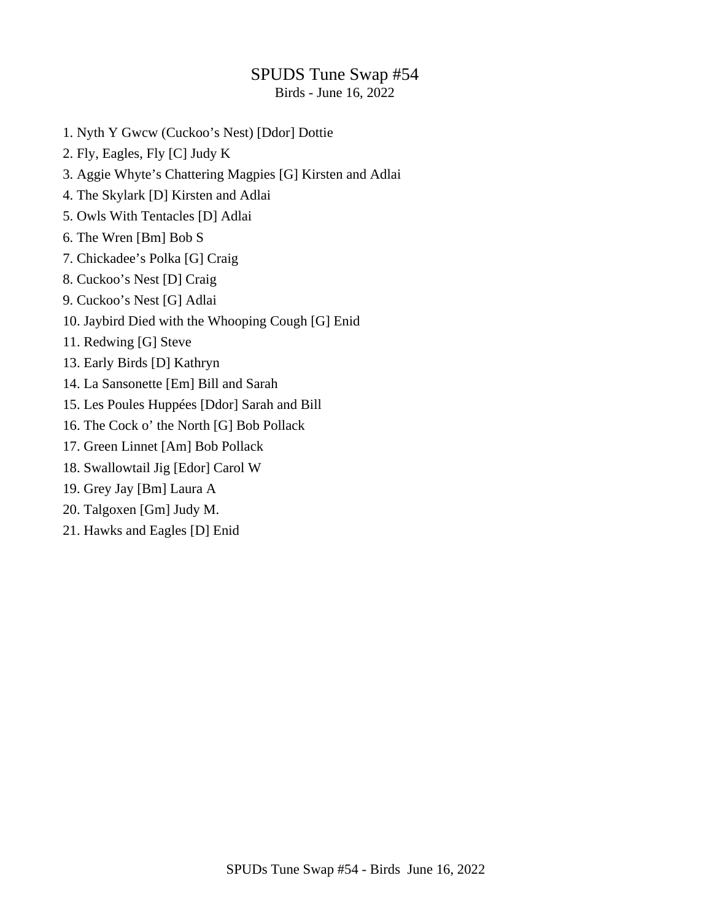## SPUDS Tune Swap #54

Birds - June 16, 2022

- 1. Nyth Y Gwcw (Cuckoo's Nest) [Ddor] Dottie
- 2. Fly, Eagles, Fly [C] Judy K
- 3. Aggie Whyte's Chattering Magpies [G] Kirsten and Adlai
- 4. The Skylark [D] Kirsten and Adlai
- 5. Owls With Tentacles [D] Adlai
- 6. The Wren [Bm] Bob S
- 7. Chickadee's Polka [G] Craig
- 8. Cuckoo's Nest [D] Craig
- 9. Cuckoo's Nest [G] Adlai
- 10. Jaybird Died with the Whooping Cough [G] Enid
- 11. Redwing [G] Steve
- 13. Early Birds [D] Kathryn
- 14. La Sansonette [Em] Bill and Sarah
- 15. Les Poules Huppées [Ddor] Sarah and Bill
- 16. The Cock o' the North [G] Bob Pollack
- 17. Green Linnet [Am] Bob Pollack
- 18. Swallowtail Jig [Edor] Carol W
- 19. Grey Jay [Bm] Laura A
- 20. Talgoxen [Gm] Judy M.
- 21. Hawks and Eagles [D] Enid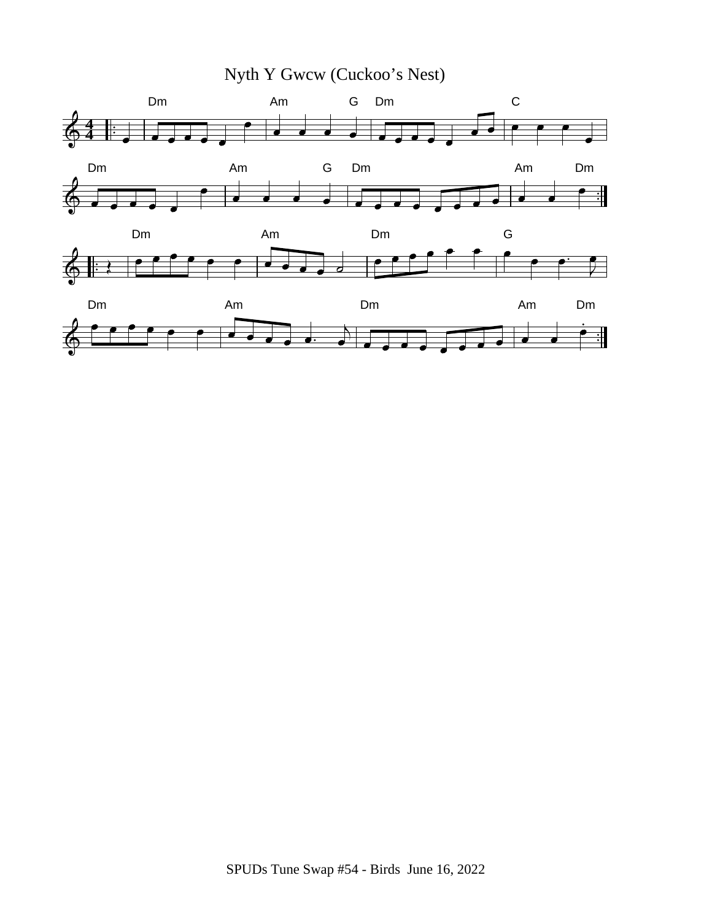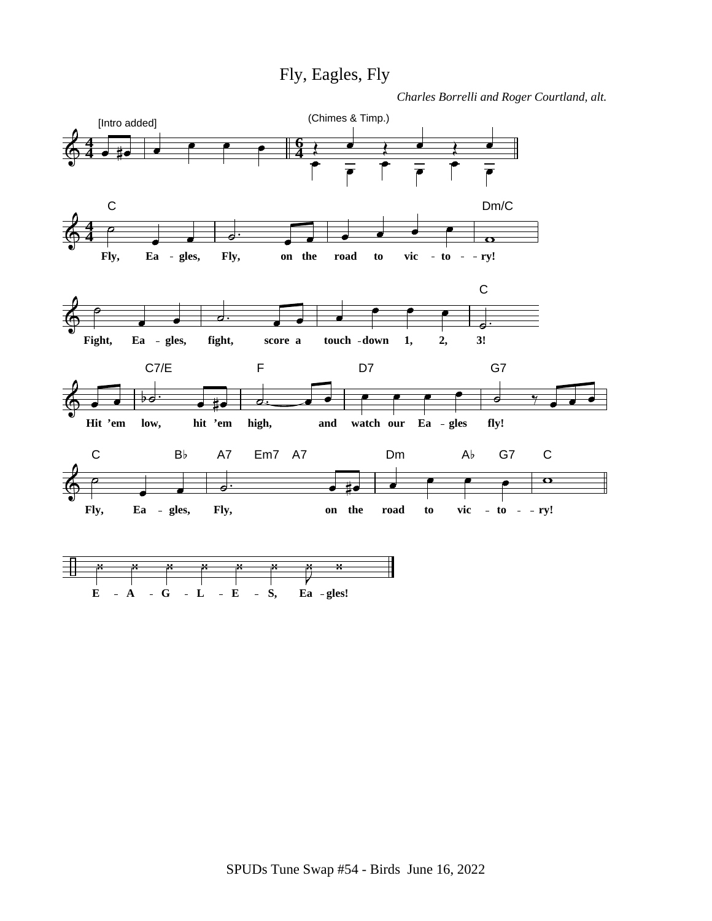Fly, Eagles, Fly

*Charles Borrelli and Roger Courtland, alt.*

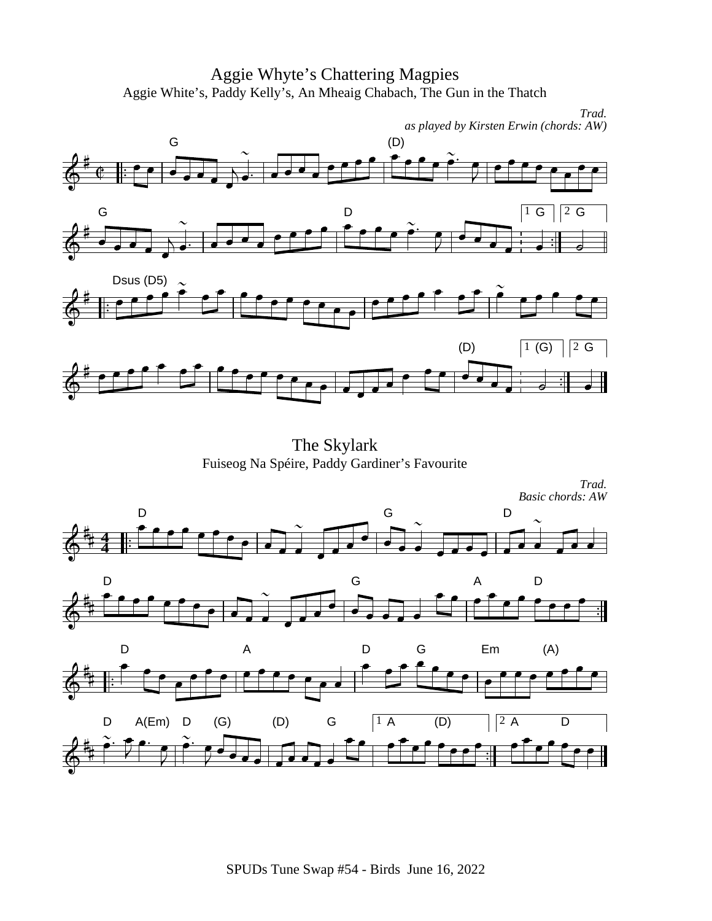Aggie Whyte's Chattering Magpies Aggie White's, Paddy Kelly's, An Mheaig Chabach, The Gun in the Thatch



The Skylark Fuiseog Na Spéire, Paddy Gardiner's Favourite

*Trad. Basic chords: AW*

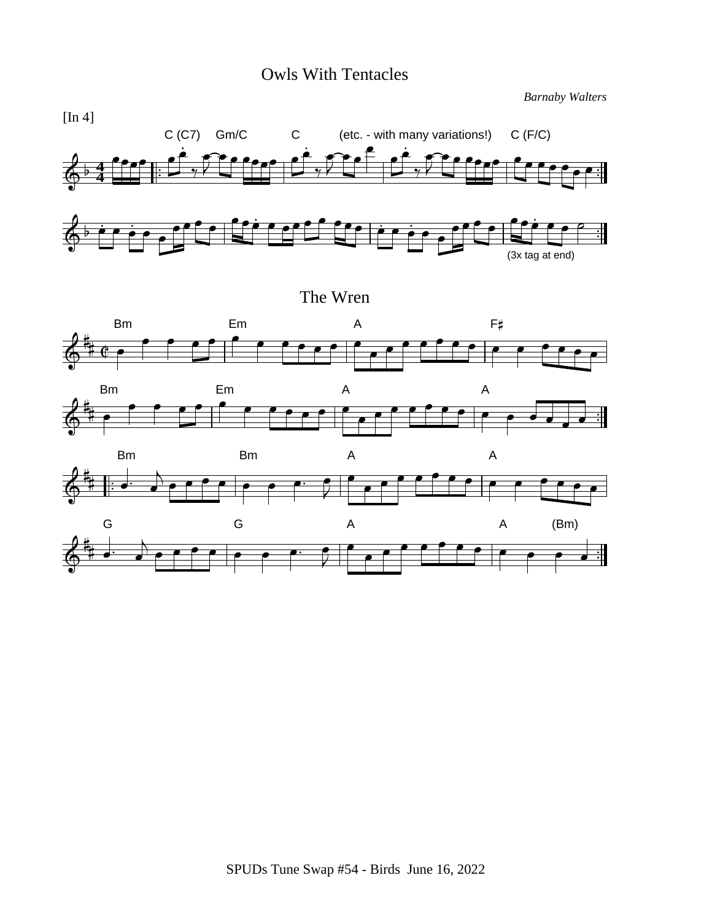#### Owls With Tentacles

*Barnaby Walters*



The Wren





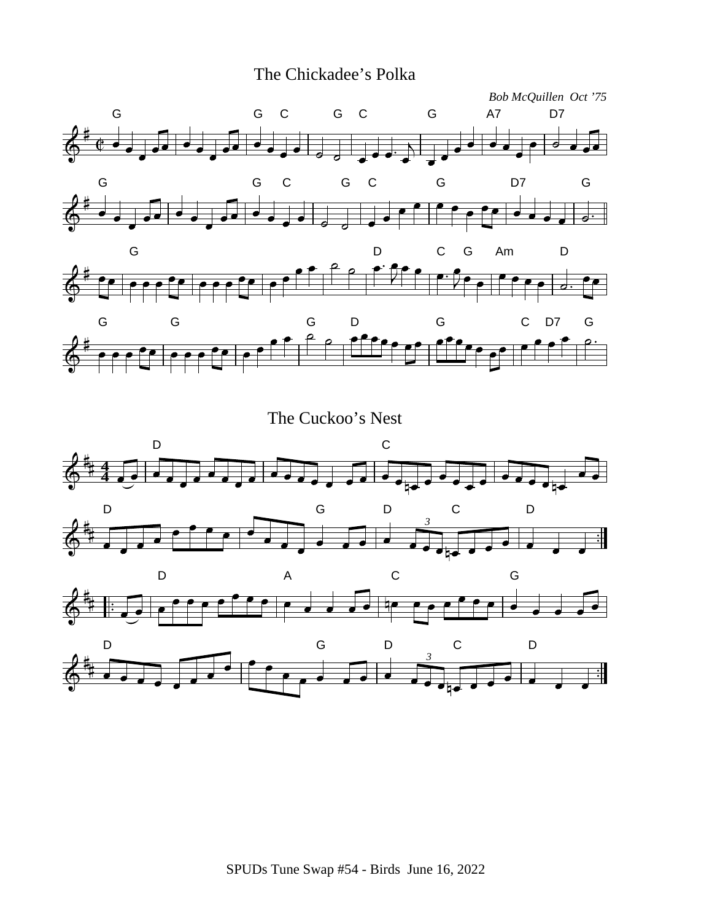



The Cuckoo's Nest

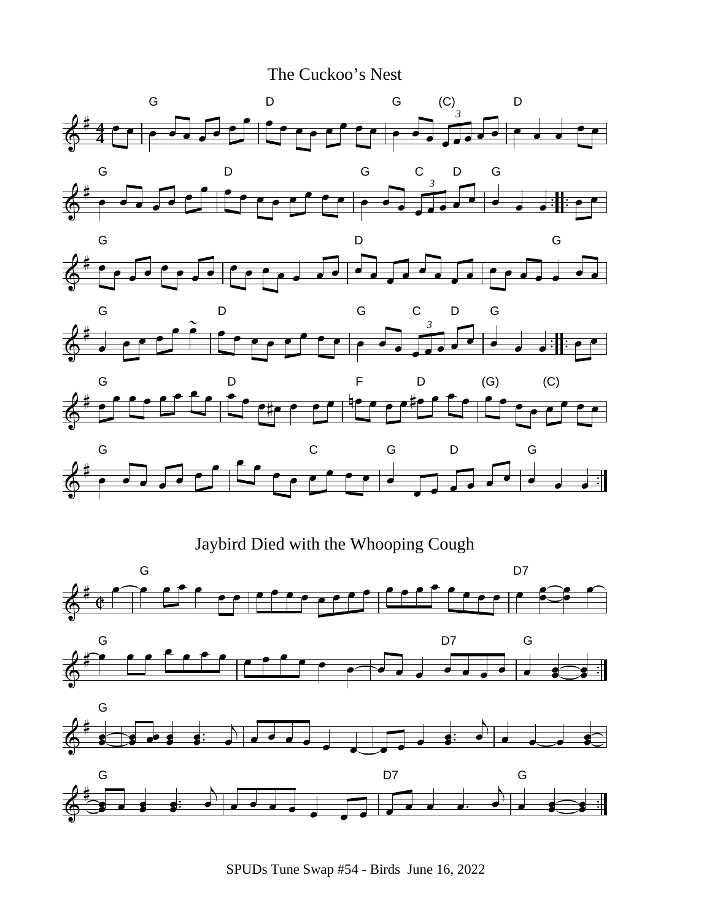The Cuckoo's Nest

















SPUDs Tune Swap #54 - Birds June 16, 2022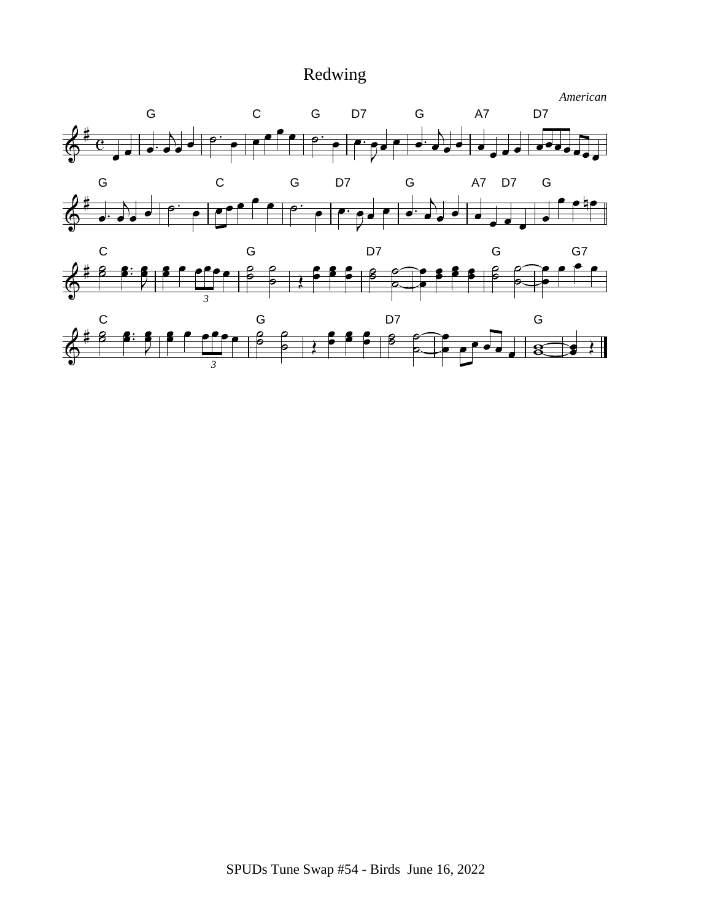# Redwing

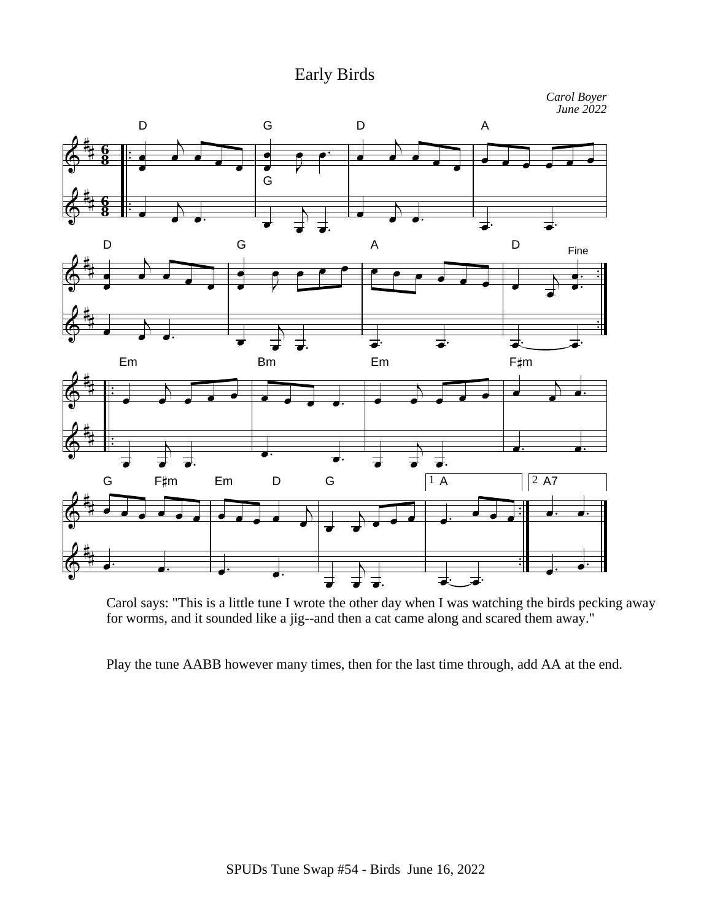#### Early Birds

*Carol Boyer June 2022*



Carol says: "This is a little tune I wrote the other day when I was watching the birds pecking away for worms, and it sounded like a jig--and then a cat came along and scared them away."

Play the tune AABB however many times, then for the last time through, add AA at the end.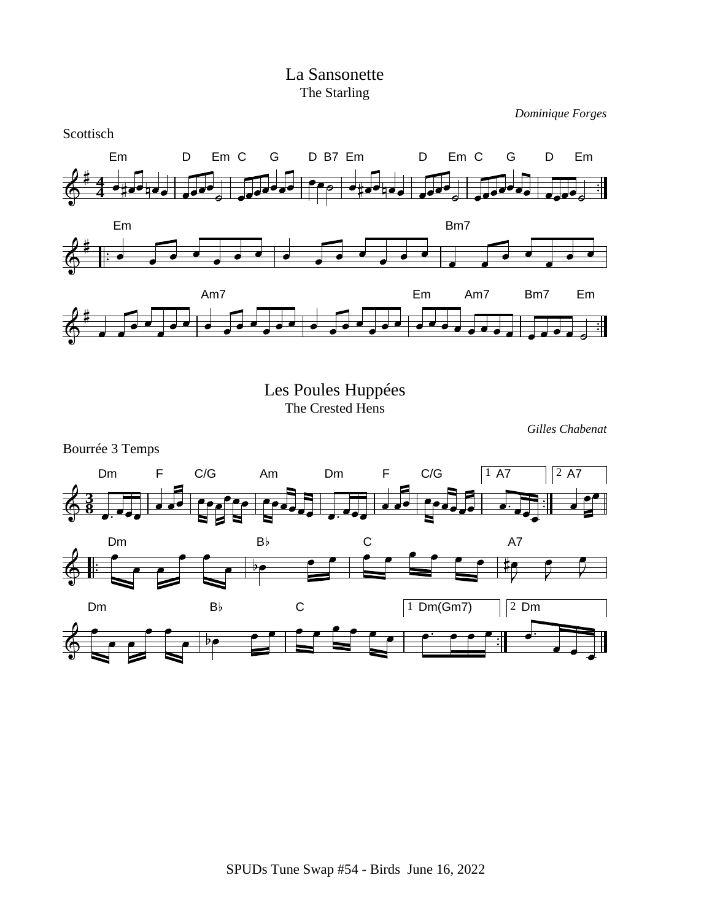#### La Sansonette The Starling

*Dominique Forges*



Les Poules Huppées The Crested Hens

*Gilles Chabenat*

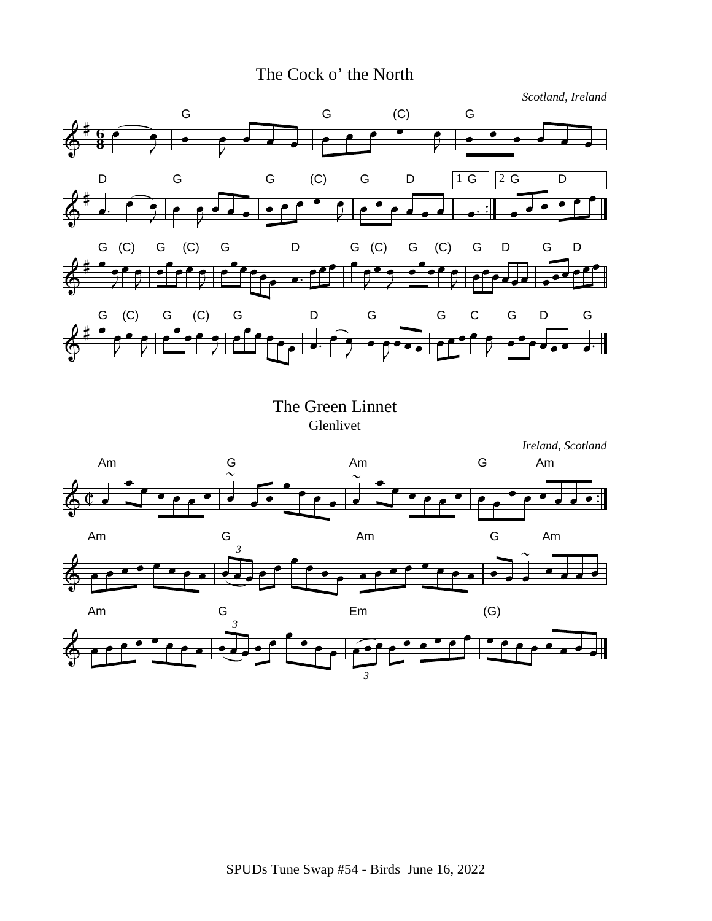### The Cock o' the North



The Green Linnet Glenlivet



*3*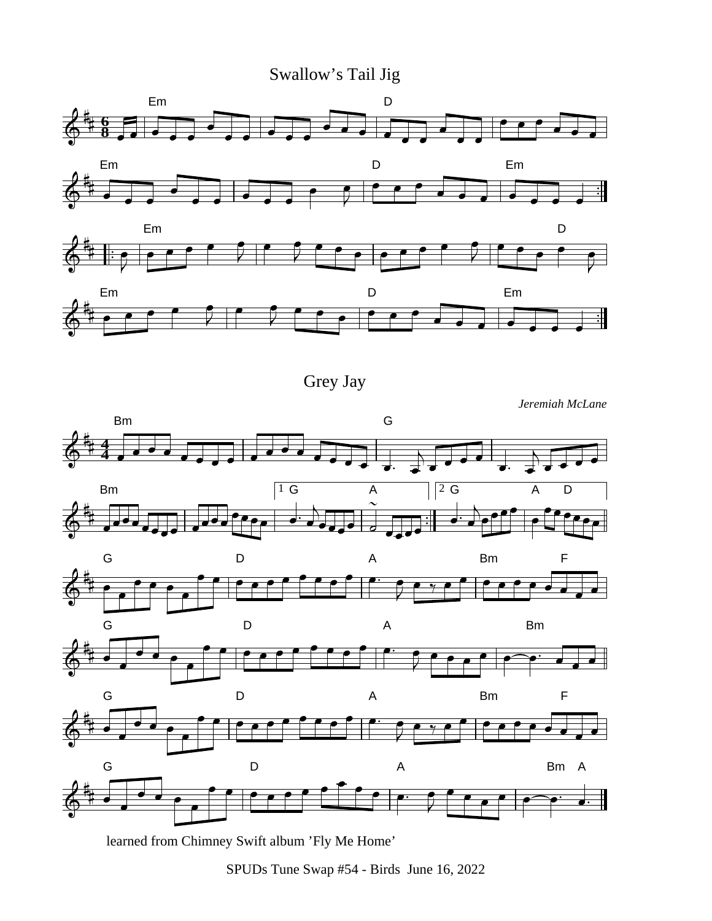Swallow's Tail Jig





Grey Jay

*Jeremiah McLane*



learned from Chimney Swift album 'Fly Me Home'

SPUDs Tune Swap #54 - Birds June 16, 2022